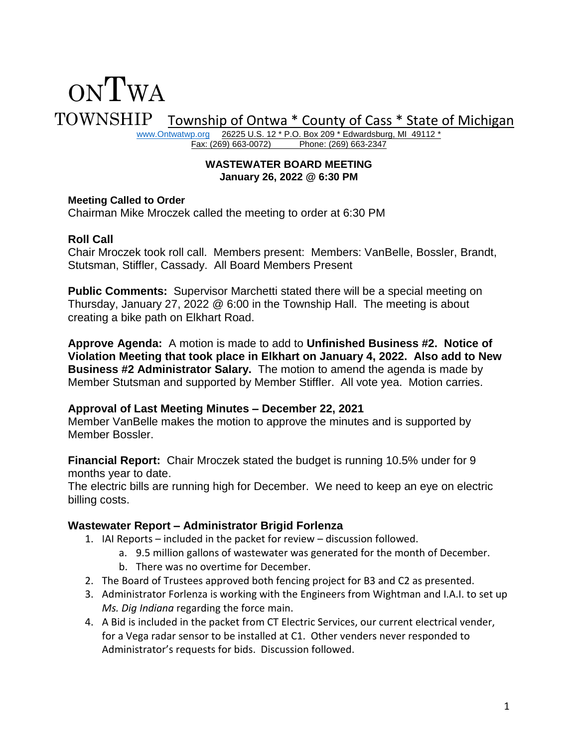# ONTWA TOWNSHIP Township of Ontwa \* County of Cass \* State of Michigan

[www.Ontwatwp.org](http://www.ontwatwp.org/) 26225 U.S. 12 \* P.O. Box 209 \* Edwardsburg, MI 49112 \*<br>Fax: (269) 663-0072) Phone: (269) 663-2347 Phone: (269) 663-2347

#### **WASTEWATER BOARD MEETING January 26, 2022 @ 6:30 PM**

#### **Meeting Called to Order**

Chairman Mike Mroczek called the meeting to order at 6:30 PM

# **Roll Call**

Chair Mroczek took roll call. Members present: Members: VanBelle, Bossler, Brandt, Stutsman, Stiffler, Cassady. All Board Members Present

**Public Comments:** Supervisor Marchetti stated there will be a special meeting on Thursday, January 27, 2022 @ 6:00 in the Township Hall. The meeting is about creating a bike path on Elkhart Road.

**Approve Agenda:** A motion is made to add to **Unfinished Business #2. Notice of Violation Meeting that took place in Elkhart on January 4, 2022. Also add to New Business #2 Administrator Salary.** The motion to amend the agenda is made by Member Stutsman and supported by Member Stiffler. All vote yea. Motion carries.

# **Approval of Last Meeting Minutes – December 22, 2021**

Member VanBelle makes the motion to approve the minutes and is supported by Member Bossler.

**Financial Report:** Chair Mroczek stated the budget is running 10.5% under for 9 months year to date.

The electric bills are running high for December. We need to keep an eye on electric billing costs.

# **Wastewater Report – Administrator Brigid Forlenza**

- 1. IAI Reports included in the packet for review discussion followed.
	- a. 9.5 million gallons of wastewater was generated for the month of December.
	- b. There was no overtime for December.
- 2. The Board of Trustees approved both fencing project for B3 and C2 as presented.
- 3. Administrator Forlenza is working with the Engineers from Wightman and I.A.I. to set up *Ms. Dig Indiana* regarding the force main.
- 4. A Bid is included in the packet from CT Electric Services, our current electrical vender, for a Vega radar sensor to be installed at C1. Other venders never responded to Administrator's requests for bids. Discussion followed.